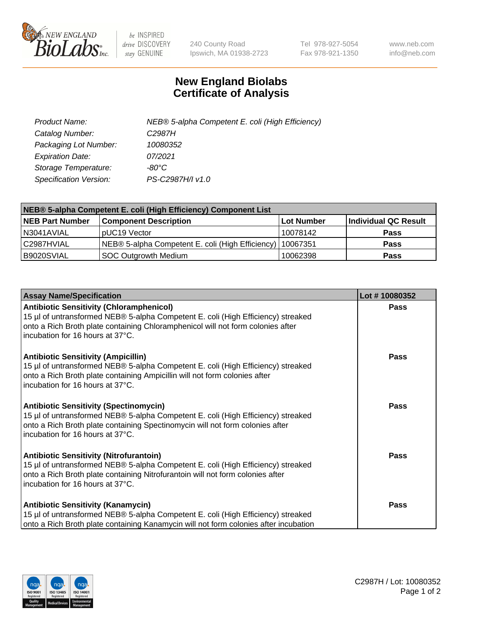

 $be$  INSPIRED drive DISCOVERY stay GENUINE

240 County Road Ipswich, MA 01938-2723 Tel 978-927-5054 Fax 978-921-1350 www.neb.com info@neb.com

## **New England Biolabs Certificate of Analysis**

| Product Name:           | NEB® 5-alpha Competent E. coli (High Efficiency) |
|-------------------------|--------------------------------------------------|
| Catalog Number:         | C <sub>2987</sub> H                              |
| Packaging Lot Number:   | 10080352                                         |
| <b>Expiration Date:</b> | 07/2021                                          |
| Storage Temperature:    | -80°C                                            |
| Specification Version:  | PS-C2987H/I v1.0                                 |

| NEB® 5-alpha Competent E. coli (High Efficiency) Component List |                                                  |            |                      |  |
|-----------------------------------------------------------------|--------------------------------------------------|------------|----------------------|--|
| <b>NEB Part Number</b>                                          | <b>Component Description</b>                     | Lot Number | Individual QC Result |  |
| N3041AVIAL                                                      | pUC19 Vector                                     | 10078142   | <b>Pass</b>          |  |
| C2987HVIAL                                                      | NEB® 5-alpha Competent E. coli (High Efficiency) | 10067351   | <b>Pass</b>          |  |
| B9020SVIAL                                                      | SOC Outgrowth Medium                             | 10062398   | <b>Pass</b>          |  |

| <b>Assay Name/Specification</b>                                                                                                                                                                                                                            | Lot #10080352 |
|------------------------------------------------------------------------------------------------------------------------------------------------------------------------------------------------------------------------------------------------------------|---------------|
| <b>Antibiotic Sensitivity (Chloramphenicol)</b><br>15 µl of untransformed NEB® 5-alpha Competent E. coli (High Efficiency) streaked<br>onto a Rich Broth plate containing Chloramphenicol will not form colonies after<br>incubation for 16 hours at 37°C. | Pass          |
| <b>Antibiotic Sensitivity (Ampicillin)</b><br>15 µl of untransformed NEB® 5-alpha Competent E. coli (High Efficiency) streaked<br>onto a Rich Broth plate containing Ampicillin will not form colonies after<br>incubation for 16 hours at 37°C.           | Pass          |
| <b>Antibiotic Sensitivity (Spectinomycin)</b><br>15 µl of untransformed NEB® 5-alpha Competent E. coli (High Efficiency) streaked<br>onto a Rich Broth plate containing Spectinomycin will not form colonies after<br>incubation for 16 hours at 37°C.     | <b>Pass</b>   |
| <b>Antibiotic Sensitivity (Nitrofurantoin)</b><br>15 µl of untransformed NEB® 5-alpha Competent E. coli (High Efficiency) streaked<br>onto a Rich Broth plate containing Nitrofurantoin will not form colonies after<br>incubation for 16 hours at 37°C.   | Pass          |
| <b>Antibiotic Sensitivity (Kanamycin)</b><br>15 µl of untransformed NEB® 5-alpha Competent E. coli (High Efficiency) streaked<br>onto a Rich Broth plate containing Kanamycin will not form colonies after incubation                                      | Pass          |